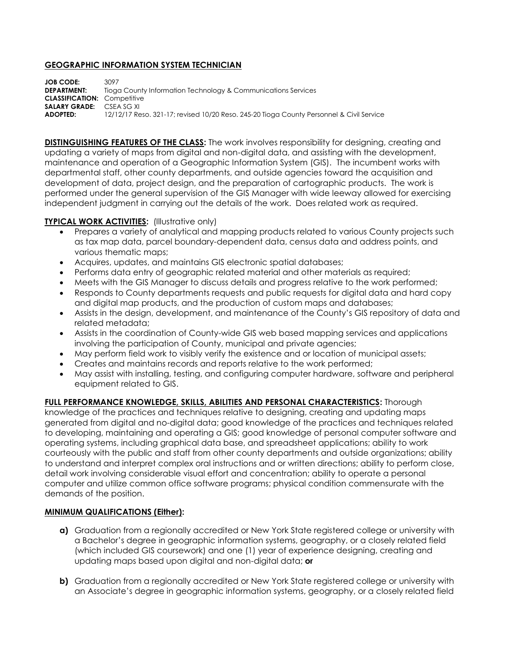## **GEOGRAPHIC INFORMATION SYSTEM TECHNICIAN**

**JOB CODE:** 3097<br>**DEPARTMENT:** Tiogo **DEPARTMENT:** Tioga County Information Technology & Communications Services **CLASSIFICATION:** Competitive **SALARY GRADE:** CSEA SG XI **ADOPTED:** 12/12/17 Reso. 321-17; revised 10/20 Reso. 245-20 Tioga County Personnel & Civil Service

**DISTINGUISHING FEATURES OF THE CLASS:** The work involves responsibility for designing, creating and updating a variety of maps from digital and non-digital data, and assisting with the development, maintenance and operation of a Geographic Information System (GIS). The incumbent works with departmental staff, other county departments, and outside agencies toward the acquisition and development of data, project design, and the preparation of cartographic products. The work is performed under the general supervision of the GIS Manager with wide leeway allowed for exercising independent judgment in carrying out the details of the work. Does related work as required.

## **TYPICAL WORK ACTIVITIES:** (Illustrative only)

- Prepares a variety of analytical and mapping products related to various County projects such as tax map data, parcel boundary-dependent data, census data and address points, and various thematic maps;
- Acquires, updates, and maintains GIS electronic spatial databases;
- Performs data entry of geographic related material and other materials as required;
- Meets with the GIS Manager to discuss details and progress relative to the work performed;
- Responds to County departments requests and public requests for digital data and hard copy and digital map products, and the production of custom maps and databases;
- Assists in the design, development, and maintenance of the County's GIS repository of data and related metadata;
- Assists in the coordination of County-wide GIS web based mapping services and applications involving the participation of County, municipal and private agencies;
- May perform field work to visibly verify the existence and or location of municipal assets;
- Creates and maintains records and reports relative to the work performed;
- May assist with installing, testing, and configuring computer hardware, software and peripheral equipment related to GIS.

## **FULL PERFORMANCE KNOWLEDGE, SKILLS, ABILITIES AND PERSONAL CHARACTERISTICS:** Thorough

knowledge of the practices and techniques relative to designing, creating and updating maps generated from digital and no-digital data; good knowledge of the practices and techniques related to developing, maintaining and operating a GIS; good knowledge of personal computer software and operating systems, including graphical data base, and spreadsheet applications; ability to work courteously with the public and staff from other county departments and outside organizations; ability to understand and interpret complex oral instructions and or written directions; ability to perform close, detail work involving considerable visual effort and concentration; ability to operate a personal computer and utilize common office software programs; physical condition commensurate with the demands of the position.

## **MINIMUM QUALIFICATIONS (Either):**

- **a)** Graduation from a regionally accredited or New York State registered college or university with a Bachelor's degree in geographic information systems, geography, or a closely related field (which included GIS coursework) and one (1) year of experience designing, creating and updating maps based upon digital and non-digital data; **or**
- **b)** Graduation from a regionally accredited or New York State registered college or university with an Associate's degree in geographic information systems, geography, or a closely related field